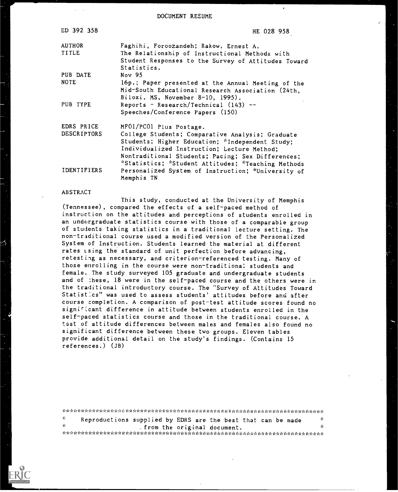DOCUMENT RESUME

| ED 392 358         | HE 028 958                                                       |
|--------------------|------------------------------------------------------------------|
| <b>AUTHOR</b>      | Faghihi, Foroozandeh; Rakow, Ernest A.                           |
| TITLE              | The Relationship of Instructional Methods with                   |
|                    | Student Responses to the Survey of Attitudes Toward              |
|                    | Statistics.                                                      |
| PUB DATE           | Nov 95                                                           |
| <b>NOTE</b>        | 16p.; Paper presented at the Annual Meeting of the               |
|                    | Mid-South Educational Research Association (24th,                |
|                    | Biloxi, MS, November 8-10, 1995).                                |
| PUB TYPE           | Reports - Research/Technical $(143)$ --                          |
|                    | Speeches/Conference Papers (150)                                 |
| EDRS PRICE         | MF01/PC01 Plus Postage.                                          |
| <b>DESCRIPTORS</b> | College Students; Comparative Analysis; Graduate                 |
|                    | Students; Higher Education; *Independent Study;                  |
|                    | Individualized Instruction; Lecture Method;                      |
|                    | Nontraditional Students; Pacing; Sex Differences;                |
|                    | *Statistics; *Student Attitudes; *Teaching Methods               |
| IDENTIFIERS        | Personalized System of Instruction; *University of<br>Memphis TN |
|                    |                                                                  |

#### ABSTRACT

This study, conducted at the University of Memphis (Tennessee) , compared the effects of a self-paced method of instruction on the attitudes and perceptions of students enrolled in an undergraduate statistics course with those of a comparable group of students taking statistics in a traditional lecture setting. The non-traditional course used a modified version of the Personalized System of Instruction. Students learned the material at different rates ising the standard of unit perfection before advancing, retesting as necessary, and criterion-referenced testing. Many of those enrolling in the course were non-traditional students and female. The study surveyed 105 graduate and undergraduate students and of :hese, 18 were in the self-paced course and the others were in the traditional introductory course. The "Survey of Attitudes Toward Statistics" was used to assess students' attitudes before and after course completion. A comparison of post-test attitude scores found no significant difference in attitude between students enrolled in the self-paced statistics course and those in the traditional course. A test of attitude differences between males and females also found no significant difference between these two groups. Eleven tables provide additional detail on the study's findings. (Contains 15 references.) (JB)

 $\frac{x}{x}$  Reproductions supplied by EDRS are the best that can be made  $\frac{x}{x}$ 7\*: $\mathbf{r}^*$  .  $\mathbf{r}^*$  .  $\mathbf{r}^*$  from the original document.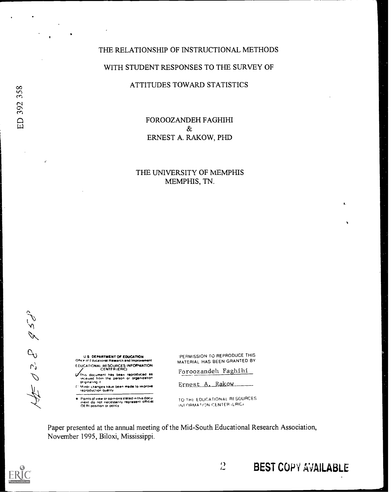# THE RELATIONSHIP OF INSTRUCTIONAL METHODS WITH STUDENT RESPONSES TO THE SURVEY OF

## ATTITUDES TOWARD STATISTICS

FOROOZANDEH FAGHIHI  $\&$ ERNEST A. RAKOW, PHD

# THE UNIVERSITY OF MEMPHIS MEMPHIS, TN.

 $= 0.58$   $\approx$   $5\%$ 

U S DEPARTMENT Of EDUCATION Office of Educational Rassarch and Improvement EDUCATIONAL RESOURCES INFORMATION

CENTER (ERIC)<br>This document has been reproduced as<br>originaling it<br>originaling it

Minor changes have been made to improve.<br>reproduction quality

Points of view or opinions stated in this docu-<br>ment :do :not: necessarily represent: Official<br>OEAI position or policy

PERMISSION TO REPRODUCE THIS MATERIAL HAS BEEN GRANTED BY

Foroozandeh Faghihi

Ernest A. Rakow

TO THk- EDUCATIONAL RTSOURCES INFORMATION CENTER (LRIC)

 $\mathcal{D}_{\mathcal{L}}$ 

Paper presented at the annual meeting of the Mid-South Educational Research Association, November 1995, Biloxi, Mississippi.



BEST COPY AVAILABLE

I.

 $\mathcal{Z}^{\star}$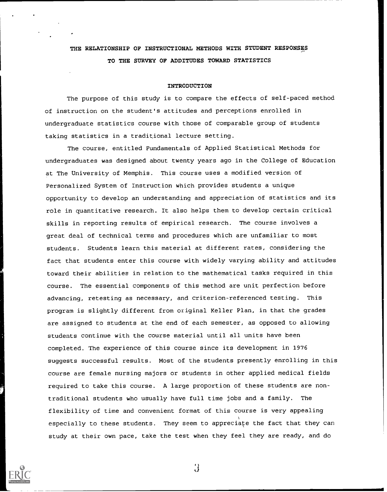# THE RELATIONSHIP OF INSTRUCTIONAL METHODS WITH STUDENT RESPONSES TO THE SURVEY OF ADDITUDES TOWARD STATISTICS

#### INTRODUCTION

The purpose of this study is to compare the effects of self-paced method of instruction on the student's attitudes and perceptions enrolled in undergraduate statistics course with those of comparable group of students taking statistics in a traditional lecture setting.

The course, entitled Fundamentals of Applied Statistical Methods for undergraduates was designed about twenty years ago in the College of Education at The University of Memphis. This course uses a modified version of Personalized System of Instruction which provides students a unique opportunity to develop an understanding and appreciation of statistics and its role in quantitative research. It also helps them to develop certain critical skills in reporting results of empirical research. The course involves a great deal of technical terms and procedures which are unfamiliar to most students. Students learn this material at different rates, considering the fact that students enter this course with widely varying ability and attitudes toward their abilities in relation to the mathematical tasks required in this course. The essential components of this method are unit perfection before advancing, retesting as necessary, and criterion-referenced testing. This program is slightly different from original Keller Plan, in that the grades are assigned to students at the end of each semester, as opposed to allowing students continue with the course material until all units have been completed. The experience of this course since its development in 1976 suggests successful results. Most of the students presently enrolling in this course are female nursing majors or students in other applied medical fields required to take this course. A large proportion of these students are nontraditional students who usually have full time jobs and a family. The flexibility of time and convenient format of this course is very appealing especially to these students. They seem to appreciate the fact that they can study at their own pace, take the test when they feel they are ready, and do



 $\mathbf{3}$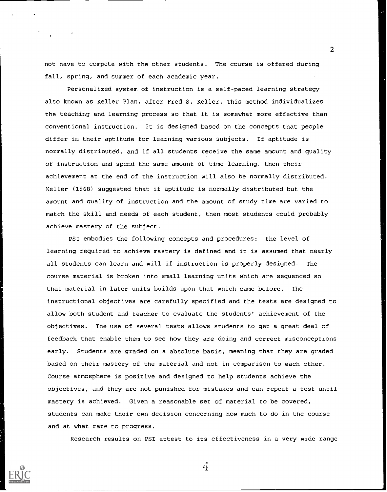not have to compete with the other students. The course is offered during fall, spring, and summer of each academic year.

2

Personalized system of instruction is a self-paced learning strategy also known as Keller Plan, after Fred S. Keller. This method individualizes the teachinq and learning process so that it is somewhat more effective than conventional instruction. It is designed based on the concepts that people differ in their aptitude for learning various subjects. If aptitude is normally distributed, and if all students receive the same amount and quality of instruction and spend the same amount of time learning, then their achievement at the end of the instruction will also be normally distributed. Keller (1968) suggested that if aptitude is normally distributed but the amount and quality of instruction and the amount of study time are varied to match the skill and needs of each student, then most students could probably achieve mastery of the subject.

PSI embodies the following concepts and procedures: the level of learning required to achieve mastery is defined and it is assumed that nearly all students can learn and will if instruction is properly designed. The course material is broken into small learning units which are sequenced so that material in later units builds upon that which came before. The instructional objectives are carefully specified and the tests are designed to allow both student and teacher to evaluate the students' achievement of the objectives. The use of several tests allows students to get a great deal of feedback that enable them to see how they are doing and correct misconceptions early. Students are graded on.a absolute basis, meaning that they are graded based on their mastery of the material and not in comparison to each other. Course atmosphere is positive and designed to help students achieve the objectives, and they are not punished for mistakes and can repeat a test until mastery is achieved. Given a reasonable set of material to be covered, students can make their own decision concerning how much to do in the course and at what rate to progress.

Research results on PSI attest to its effectiveness in a very wide range

 $\hat{\mathcal{L}}$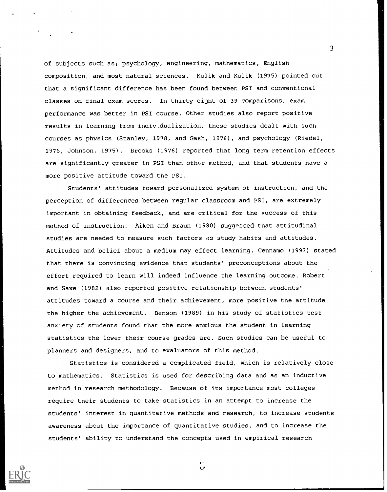of subjects such as; psychology, engineering, mathematics, English composition, and most natural sciences. Kulik and Kulik (1975) pointed out that a significant difference has been found between PSI and conventional classes on final exam scores. In thirty-eight of 39 comparisons, exam performance was better in PSI course. Other studies also report positive results in learning from indiv.dualization, these studies dealt with such courses as physics (Stanley, 1978, and Gash, 1976), and psychology (Riedel, 1976, Johnson, 1975) . Brooks (1976) reported that long term retention effects are significantly greater in PSI than other method, and that students have a more positive attitude toward the PSI.

Students' attitudes toward personalized system of instruction, and the perception of differences between regular classroom and PSI, are extremely important in obtaining feedback, and are critical for the success of this method of instruction. Aiken and Braun (1980) suggested that attitudinal studies are needed to measure such factors as study habits and attitudes. Attitudes and belief about a medium may effect learning. Cennamo (1993) stated that there is convincing evidence that students' preconceptions about the effort required to learn will indeed influence the learning outcome. Robert and Saxe (1982) also reported positive relationship between students' attitudes toward a course and their achievement, more positive the attitude the higher the achievement. Benson (1989) in his study of statistics test anxiety of students found that the more anxious the student in learning statistics the lower their course grades are. Such studies can be useful to planners and designers, and to evaluators of this method.

Statistics is considered a complicated field, which is relatively close to mathematics. Statistics is used for describing data and as an inductive method in research methodology. Because of its importance most colleges require their students to take statistics in an attempt to increase the students' interest in quantitative methods and research, to increase students awareness about the importance of quantitative studies, and to increase the students' ability to understand the concepts used in empirical research

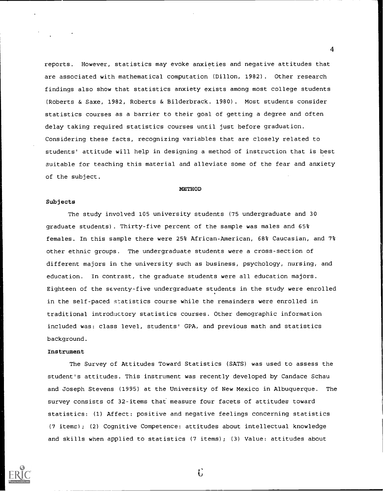reports. However, statistics may evoke anxieties and negative attitudes that are associated with mathematical computation (Dillon, 1982) . Other research findings also show that statistics anxiety exists among most college students (Roberts & Saxe, 1982, Roberts & Bilderbrack. 1980) . Most students consider statistics courses as a barrier to their goal of getting a degree and often delay taking required statistics courses until just before graduation. Considering these facts, recognizing variables that are closely related to students' attitude will help in designing a method of instruction that is best suitable for teaching this material and alleviate some of the fear and anxiety of the subject.

#### **METHOD**

#### Subjects

The study involved 105 university students (75 undergraduate and 30 graduate students) . Thirty-five percent of the sample was males and 65% females. In this sample there were 25% African-American, 68% Caucasian, and 7% other ethnic groups. The undergraduate students were a cross-section of different maiors in the university such as business, psychology, nursing, and education. In contrast, the graduate students were all education majors. Eighteen of the seventy-five undergraduate students in the study were enrolled in the self-paced statistics course while the remainders were enrolled in traditional introductory statistics courses. Other demographic information included was: class level, students' GPA, and previous math and statistics background.

#### Instrument

The Survey of Attitudes Toward Statistics (SATS) was used to assess the student's attitudes. This instrument was recently developed by Candace Schau and Joseph Stevens (1995) at the University of New Mexico in Albuquerque. The survey consists of 32-items that measure four facets of attitudes toward statistics: (1) Affect: positive and negative feelings concerning statistics (7 items); (2) Cognitive Competence: attitudes about intellectual knowledge and skills when applied to statistics (7 items); (3) Value: attitudes about



 $\mathbf{G}$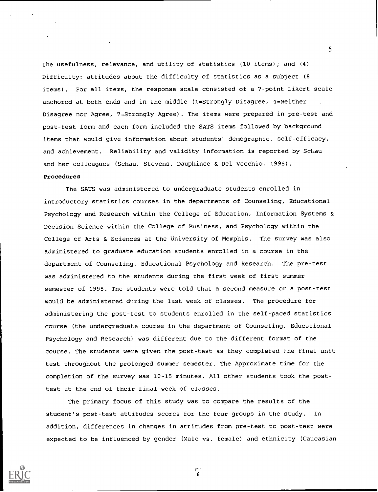the usefulness, relevance, and utility of statistics (10 items) ; and (4) Difficulty: attitudes about the difficulty of statistics as a subject (8 items) . For all items, the response scale consisted of a 7-point Likert scale anchored at both ends and in the middle (1=Strongly Disagree, 4=Neither Disagree nor Agree, 7=Strongly Agree) . The items were prepared in pre-test and post-test form and each form included the SATS items followed by background items that would give information about students' demographic, self-efficacy, and achievement. Reliability and validity information is reported by Schau and her colleagues (Schau, Stevens, Dauphinee & Del Vecchio, 1995).

### Procedures

The SATS was administered to undergraduate students enrolled in introductory statistics courses in the departments of Counseling, Educational Psychology and Research within the College of Education, Information Systems & Decision Science within the College of Business, and Psychology within the College of Arts & Sciences at the University of Memphis. The survey was also aoministered to graduate education students enrolled in a course in the department of Counseling, Educational Psychology and Research. The pre-test was administered to the students during the first week of first summer semester of 1995. The students were told that a second measure or a post-test would be administered during the last week of classes. The procedure for administering the post-test to students enrolled in the self-paced statistics course (the undergraduate course in the department of Counseling, Educational Psychology and Research) was different due to the different format of the course. The students were given the post-test as they completed the final unit test throughout the prolonged summer semester. The Approximate time for the completion of the survey was 10-15 minutes. All other students took the posttest at the end of their final week of classes.

The primary focus of this study was to compare the results of the student's post-test attitudes scores for the four groups in the study. In addition, differences in changes in attitudes from pre-test to post-test were expected to be influenced by gender (Male vs. female) and ethnicity (Caucasian

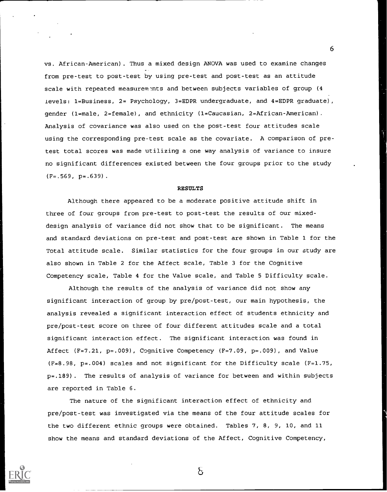vs. African-American) . Thus a mixed design ANOVA was used to examine changes from pre-test to post-test by using pre-test and post-test as an attitude scale with repeated measurements and between subjects variables of group (4 levels: 1=Business, 2= Psychology, 3=EDPR undergraduate, and 4=EDPR graduate), gender (1=male, 2=female), and ethnicity (1=Caucasian, 2=African-American). Analysis of covariance was also used on the post-test four attitudes scale using the corresponding pre-test scale as the covariate. A comparison of pretest total scores was made utilizing a one way analysis of variance to insure no significant differences existed between the four groups prior to the study  $(F=.569, p=.639)$ .

#### RESULTS

Although there appeared to be a moderate positive attitude shift in three of four groups from pre-test to post-test the results of our mixeddesign analysis of variance did not show that to be significant. The means and standard deviations on pre-test and post-test are shown in Table 1 for the Total attitude scale. Similar statistics for the four groups in our study are also shown in Table 2 for the Affect scale, Table 3 for the Cognitive Competency scale, Table 4 for the Value scale, and Table 5 Difficulty scale.

Although the results of the analysis of variance did not show any significant interaction of group by pre/post-test, our main hypothesis, the analysis revealed a significant interaction effect of students ethnicity and pre/post-test score on three of four different attitudes scale and a total significant interaction effect. The significant interaction was found in Affect (F=7.21, p=.009), Cognitive Competency (F=7.09, p=.009), and Value (F=8.98, p=.004) scales and not significant for the Difficulty scale (F=1.75, p=.189). The results of analysis of variance for between and within subjects are reported in Table 6.

The nature of the significant interaction effect of ethnicity and pre/post-test was investigated via the means of the four attitude scales for the two different ethnic groups were obtained. Tables 7, 8, 9, 10, and 11 show the means and standard deviations of the Affect, Cognitive Competency,



6

δ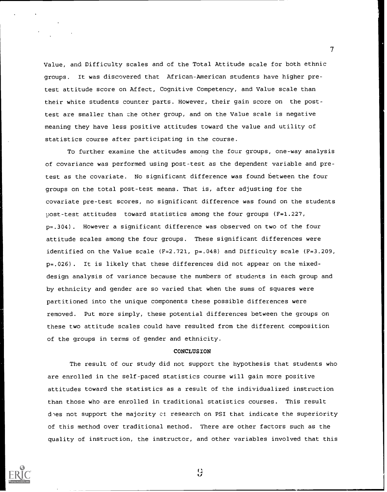Value, and Difficulty scales and of the Total Attitude scale for both ethnic groups. It was discovered that African-American students have higher pretest attitude score on Affect, Cognitive Competency, and Value scale than their white students counter parts. However, their gain score on the posttest are smaller than the other group, and on the Value scale is negative meaning they have less positive attitudes toward the value and utility of statistics course after participating in the course.

To further examine the attitudes among the four groups, one-way analysis of covariance was performed using post-test as the dependent variable and pretest as the covariate. No significant difference was found between the four groups on the total post-test means. That is, after adjusting for the covariate pre-test scores, no significant difference was found on the students post-test attitudes toward statistics among the four groups (F=1.227, p=.304). However a significant difference was observed on two of the four attitude scales among the four groups. These significant differences were identified on the Value scale (F=2.721, p=.048) and Difficulty scale (F=3.209, p=.026). It is likely that these differences did not appear on the mixeddesign analysis of variance because the numbers of students in each group and by ethnicity and gender are so varied that when the sums of squares were partitioned into the unique components these possible differences were removed. Put more simply, these potential differences between the groups on these two attitude scales could have resulted from the different composition of the groups in terms of gender and ethnicity.

#### **CONCLUSION**

The result of our study did not support the hypothesis that students who are enrolled in the self-paced statistics course will gain more positive attitudes toward the statistics as a result of the individualized instruction than those who are enrolled in traditional statistics courses. This result dhes not support the majority of research on PSI that indicate the superiority of this method over traditional method. There are other factors such as the quality of instruction, the instructor, and other variables involved that this



 $\frac{1}{2}$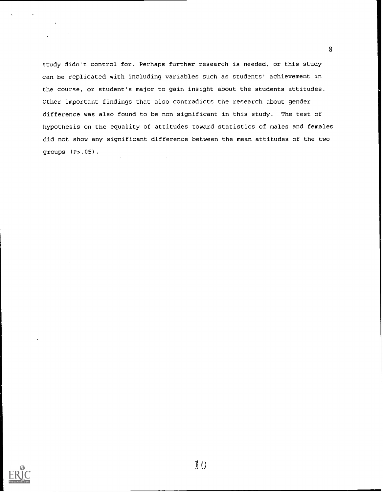study didn't control for. Perhaps further research is needed, or this study can be replicated with including variables such as students' achievement in the course, or student's major to gain insight about the students attitudes. Other important findings that also contradicts the research about gender difference was also found to be non significant in this study. The test of hypothesis on the equality of attitudes toward statistics of males and females did not show any significant difference between the mean attitudes of the two groups (P>.05).

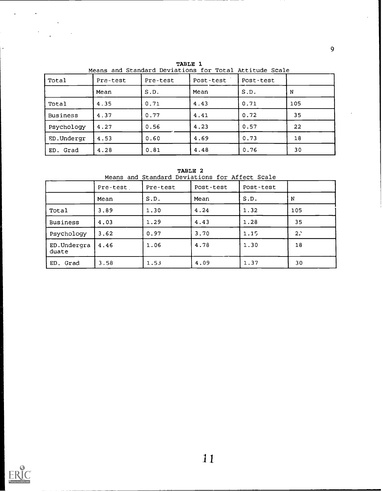| Total           | Pre-test | Pre-test | Post-test | Post-test |     |
|-----------------|----------|----------|-----------|-----------|-----|
|                 | Mean     | S.D.     | Mean      | S.D.      | N   |
| Total           | 4.35     | 0.71     | 4.43      | 0.71      | 105 |
| <b>Business</b> | 4.37     | 0.77     | 4.41      | 0.72      | 35  |
| Psychology      | 4.27     | 0.56     | 4.23      | 0.57      | 22  |
| ED.Undergr      | 4.53     | 0.60     | 4.69      | 0.73      | 18  |
| Grad<br>ED.     | 4.28     | 0.81     | 4.48      | 0.76      | 30  |

TABLE 1 Means and Standard Deviations for Total Attitude Scale

TABLE 2

Means and Standard Deviations for Affect Scale

|                      | Pre-test | Pre-test | Post-test | Post-test |                |
|----------------------|----------|----------|-----------|-----------|----------------|
|                      | Mean     | S.D.     | Mean      | S.D.      | N              |
| Total                | 3.89     | 1.30     | 4.24      | 1.32      | 105            |
| <b>Business</b>      | 4.03     | 1.29     | 4.43      | 1.28      | 35             |
| Psychology           | 3.62     | 0.97     | 3.70      | 1.15      | 2 <sup>2</sup> |
| ED.Undergra<br>duate | 4.46     | 1.06     | 4.78      | 1.30      | 18             |
| ED. Grad             | 3.58     | 1.53     | 4.09      | 1.37      | 30             |



 $\sim$ 

 $\sim$ 

 $\ddot{\phantom{1}}$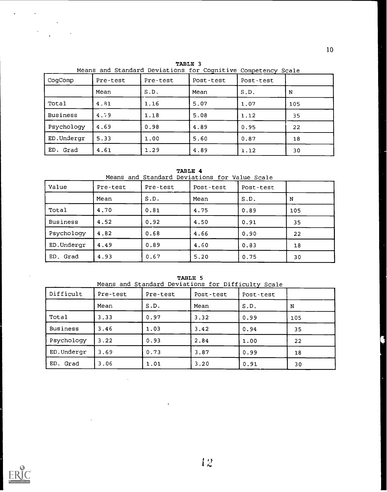| CogComp         | Pre-test | Pre-test | Post-test | Post-test |     |
|-----------------|----------|----------|-----------|-----------|-----|
|                 | Mean     | S.D.     | Mean      | S.D.      | N   |
| Total           | 4.81     | 1.16     | 5.07      | 1.07      | 105 |
| <b>Business</b> | 4.79     | 1.18     | 5.08      | 1.12      | 35  |
| Psychology      | 4.69     | 0.98     | 4.89      | 0.95      | 22  |
| ED.Undergr      | 5.33     | 1.00     | 5.60      | 0.87      | 18  |
| ED.<br>Grad     | 4.61     | 1.29     | 4.89      | 1.12      | 30  |

TABLE 3

TABLE 4

Means and Standard Deviations for Value Scale

| Value           | Pre-test | Pre-test | Post-test | Post-test |     |
|-----------------|----------|----------|-----------|-----------|-----|
|                 | Mean     | S.D.     | Mean      | S.D.      | N   |
| Total           | 4.70     | 0.81     | 4.75      | 0.89      | 105 |
| <b>Business</b> | 4.52     | 0.92     | 4.50      | 0.91      | 35  |
| Psychology      | 4.82     | 0.68     | 4.66      | 0.90      | 22  |
| ED.Undergr      | 4.49     | 0.89     | 4.60      | 0.83      | 18  |
| ED. Grad        | 4.93     | 0.67     | 5.20      | 0.75      | 30  |

|                 | rwono s<br>Means and Standard Deviations for Difficulty Scale |          |           |           |     |  |  |  |
|-----------------|---------------------------------------------------------------|----------|-----------|-----------|-----|--|--|--|
| Difficult       | Pre-test                                                      | Pre-test | Post-test | Post-test |     |  |  |  |
|                 | Mean                                                          | S.D.     | Mean      | S.D.      | N   |  |  |  |
| Total           | 3.33                                                          | 0.97     | 3.32      | 0.99      | 105 |  |  |  |
| <b>Business</b> | 3.46                                                          | 1.03     | 3.42      | 0.94      | 35  |  |  |  |
| Psychology      | 3.22                                                          | 0.93     | 2.84      | 1.00      | 22  |  |  |  |
| ED.Undergr      | 3.69                                                          | 0.73     | 3.87      | 0.99      | 18  |  |  |  |
| ED.<br>Grad     | 3.06                                                          | 1.01     | 3.20      | 0.91      | 30  |  |  |  |

 $\mathbb{Z}$ 





 $\sim 10^{11}$  km

 $\ddot{\phantom{a}}$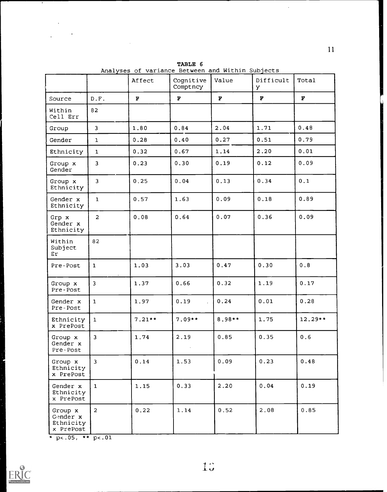|                                               |                         | Affect   | Cognitive<br>Comptncy | Value  | Difficult<br>Y. | Total   |
|-----------------------------------------------|-------------------------|----------|-----------------------|--------|-----------------|---------|
| Source                                        | D.F.                    | F        | $\mathbf F$           | F      | F               | F       |
| Within<br>Cell Err                            | 82                      |          |                       |        |                 |         |
| Group                                         | $\overline{\mathbf{3}}$ | 1.80     | 0.84                  | 2.04   | 1.71            | 0.48    |
| Gender                                        | $\mathbf{1}$            | 0.28     | 0.40                  | 0.27   | 0.51            | 0.79    |
| Ethnicity                                     | $\mathbf{1}$            | 0.32     | 0.67                  | 1.14   | 2.20            | 0.01    |
| Group x<br>Gender                             | 3                       | 0.23     | 0.30                  | 0.19   | 0.12            | 0.09    |
| Group x<br>Ethnicity                          | $\overline{\mathbf{3}}$ | 0.25     | 0.04                  | 0.13   | 0.34            | 0.1     |
| Gender x<br>Ethnicity                         | $\mathbf{1}$            | 0.57     | 1.63                  | 0.09   | 0.18            | 0.89    |
| Grp x<br>Gender x<br>Ethnicity                | $\overline{2}$          | 0.08     | 0.64                  | 0.07   | 0.36            | 0.09    |
| Within<br>Subject<br>Er                       | 82                      |          |                       |        |                 |         |
| Pre-Post                                      | $\mathbf{1}$            | 1.03     | 3.03                  | 0.47   | 0.30            | 0.8     |
| Group x<br>Pre-Post                           | 3                       | 1.37     | 0.66                  | 0.32   | 1.19            | 0.17    |
| Gender x<br>Pre-Post                          | $\mathbf{1}$            | 1.97     | 0.19                  | 0.24   | 0.01            | 0.28    |
| Ethnicity<br>x PrePost                        | $\mathbf{1}$            | $7.21**$ | $7.09**$              | 8.98** | 1.75            | 12.29** |
| Group x<br>Gender x<br>Pre-Post               | $\overline{\mathbf{3}}$ | 1.74     | 2.19                  | 0.85   | 0.35            | 0.6     |
| Group x<br>Ethnicity<br>x PrePost             | $\overline{\mathbf{3}}$ | 0.14     | 1.53                  | 0.09   | 0.23            | 0.48    |
| Gender x<br>Ethnicity<br>x PrePost            | $\mathbf{1}$            | 1.15     | 0.33                  | 2.20   | 0.04            | 0.19    |
| Group x<br>Gender x<br>Ethnicity<br>x PrePost | $\overline{a}$          | 0.22     | 1.14                  | 0.52   | 2.08            | 0.85    |

TABLE 6 Analyses of variance Between and Within Subjects \_\_\_\_\_\_\_\_\_\_\_\_\_\_\_\_\_\_\_\_\_\_\_\_\_\_\_\_\_\_\_\_

\*  $p<0.05$ , \*\*  $p<0.01$ 

 $\mathcal{L}^{\text{max}}$  and  $\mathcal{L}^{\text{max}}$  $\sim 10^{11}$  km

 $\mathcal{A}$ 

 $\ddot{\phantom{a}}$ 



11

 $\hat{\mathcal{A}}$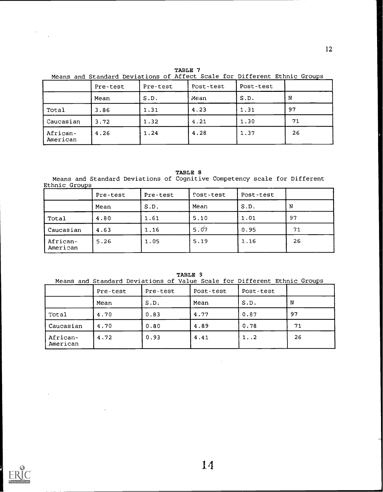TABLE 7

Means and Standard Deviations of Affect Scale for Different Ethnic Groups \_\_\_

|                      | Pre-test | Pre-test | Post-test | Post-test |    |
|----------------------|----------|----------|-----------|-----------|----|
|                      | Mean     | S.D.     | Mean      | S.D.      | N  |
| Total                | 3.86     | 1.31     | 4.23      | 1.31      | 97 |
| Caucasian            | 3.72     | 1.32     | 4.21      | 1.30      | 71 |
| African-<br>American | 4.26     | 1.24     | 4.28      | 1.37      | 26 |

#### TABLE 8

Means and Standard Deviations of Cognitive Competency scale for Different <u>Ethnic Groups \_\_\_\_\_\_</u>

|                      | Pre-test | Pre-test | Post-test | Post-test |    |
|----------------------|----------|----------|-----------|-----------|----|
|                      | Mean     | S.D.     | Mean      | S.D.      | N  |
| Total                | 4.80     | 1.61     | 5.10      | 1.01      | 97 |
| Caucasian            | 4.63     | 1.16     | 5.07      | 0.95      | 71 |
| African-<br>American | 5.26     | 1.05     | 5.19      | 1.16      | 26 |

TABLE 9

Means and Standard Deviations of Value Scale for Different Ethnic Groups

|                      | Pre-test | Pre-test | Post-test | Post-test |    |
|----------------------|----------|----------|-----------|-----------|----|
|                      | Mean     | S.D.     | Mean      | S.D.      | N  |
| Total                | 4.70     | 0.83     | 4.77      | 0.87      | 97 |
| Caucasian            | 4.70     | 0.80     | 4.89      | 0.78      | 71 |
| African-<br>American | 4.72     | 0.93     | 4.41      | 1.12      | 26 |



 $\cdot$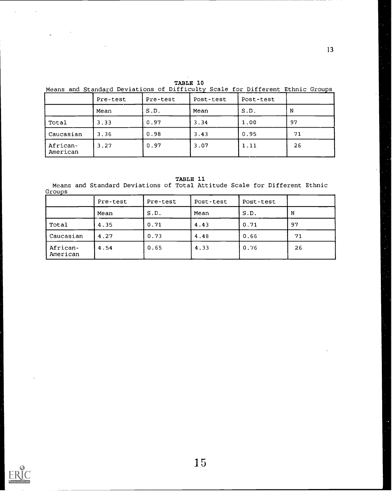13

TABLE 10

Means and Standard Deviations of Difficulty Scale for Different Ethnic Groups

|                      | Pre-test | Pre-test | Post-test | Post-test |    |
|----------------------|----------|----------|-----------|-----------|----|
|                      | Mean     | S.D.     | Mean      | S.D.      | N  |
| Total                | 3.33     | 0.97     | 3.34      | 1.00      | 97 |
| Caucasian            | 3.36     | 0.98     | 3.43      | 0.95      | 71 |
| African-<br>American | 3.27     | 0.97     | 3.07      | 1.11      | 26 |

TABLE 11

Means and Standard Deviations of Total Attitude Scale for Different Ethnic Groups

|                      | Pre-test | Pre-test | Post-test | Post-test |    |
|----------------------|----------|----------|-----------|-----------|----|
|                      | Mean     | S.D.     | Mean      | S.D.      | N  |
| Total                | 4.35     | 0.71     | 4.43      | 0.71      | 97 |
| Caucasian            | 4.27     | 0.73     | 4.48      | 0.66      | 71 |
| African-<br>American | 4.54     | 0.65     | 4.33      | 0.76      | 26 |